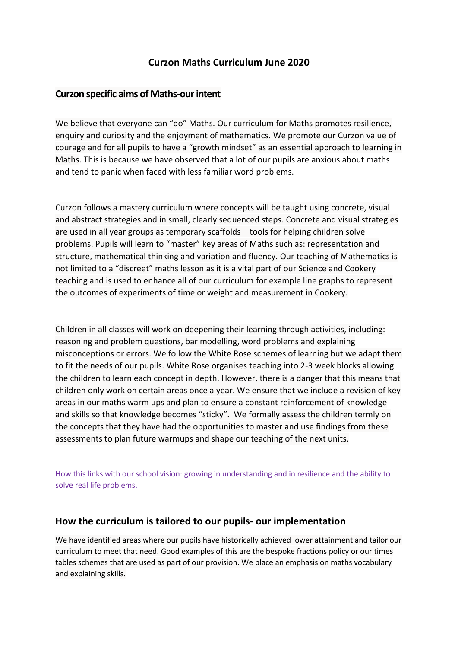# **Curzon Maths Curriculum June 2020**

### **Curzon specific aims of Maths-our intent**

We believe that everyone can "do" Maths. Our curriculum for Maths promotes resilience, enquiry and curiosity and the enjoyment of mathematics. We promote our Curzon value of courage and for all pupils to have a "growth mindset" as an essential approach to learning in Maths. This is because we have observed that a lot of our pupils are anxious about maths and tend to panic when faced with less familiar word problems.

Curzon follows a mastery curriculum where concepts will be taught using concrete, visual and abstract strategies and in small, clearly sequenced steps. Concrete and visual strategies are used in all year groups as temporary scaffolds – tools for helping children solve problems. Pupils will learn to "master" key areas of Maths such as: representation and structure, mathematical thinking and variation and fluency. Our teaching of Mathematics is not limited to a "discreet" maths lesson as it is a vital part of our Science and Cookery teaching and is used to enhance all of our curriculum for example line graphs to represent the outcomes of experiments of time or weight and measurement in Cookery.

Children in all classes will work on deepening their learning through activities, including: reasoning and problem questions, bar modelling, word problems and explaining misconceptions or errors. We follow the White Rose schemes of learning but we adapt them to fit the needs of our pupils. White Rose organises teaching into 2-3 week blocks allowing the children to learn each concept in depth. However, there is a danger that this means that children only work on certain areas once a year. We ensure that we include a revision of key areas in our maths warm ups and plan to ensure a constant reinforcement of knowledge and skills so that knowledge becomes "sticky". We formally assess the children termly on the concepts that they have had the opportunities to master and use findings from these assessments to plan future warmups and shape our teaching of the next units.

How this links with our school vision: growing in understanding and in resilience and the ability to solve real life problems.

# **How the curriculum is tailored to our pupils- our implementation**

We have identified areas where our pupils have historically achieved lower attainment and tailor our curriculum to meet that need. Good examples of this are the bespoke fractions policy or our times tables schemes that are used as part of our provision. We place an emphasis on maths vocabulary and explaining skills.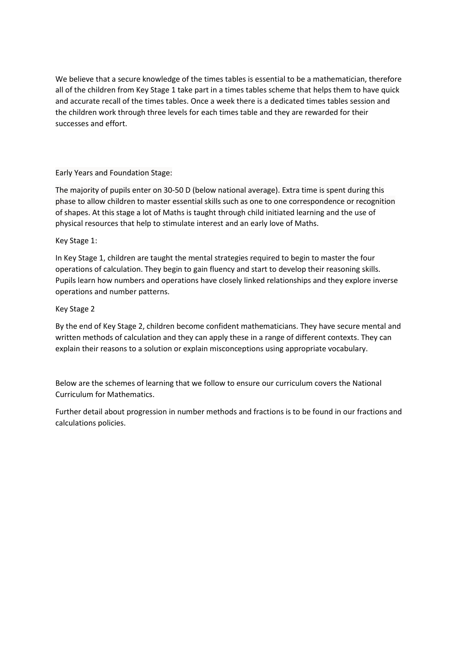We believe that a secure knowledge of the times tables is essential to be a mathematician, therefore all of the children from Key Stage 1 take part in a times tables scheme that helps them to have quick and accurate recall of the times tables. Once a week there is a dedicated times tables session and the children work through three levels for each times table and they are rewarded for their successes and effort.

#### Early Years and Foundation Stage:

The majority of pupils enter on 30-50 D (below national average). Extra time is spent during this phase to allow children to master essential skills such as one to one correspondence or recognition of shapes. At this stage a lot of Maths is taught through child initiated learning and the use of physical resources that help to stimulate interest and an early love of Maths.

#### Key Stage 1:

In Key Stage 1, children are taught the mental strategies required to begin to master the four operations of calculation. They begin to gain fluency and start to develop their reasoning skills. Pupils learn how numbers and operations have closely linked relationships and they explore inverse operations and number patterns.

#### Key Stage 2

By the end of Key Stage 2, children become confident mathematicians. They have secure mental and written methods of calculation and they can apply these in a range of different contexts. They can explain their reasons to a solution or explain misconceptions using appropriate vocabulary.

Below are the schemes of learning that we follow to ensure our curriculum covers the National Curriculum for Mathematics.

Further detail about progression in number methods and fractions is to be found in our fractions and calculations policies.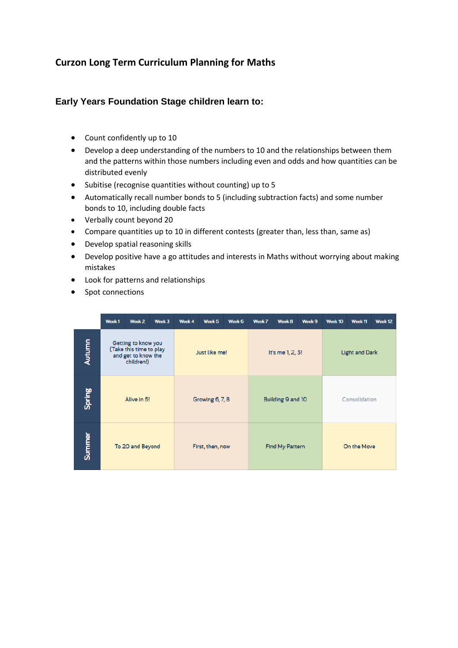# **Curzon Long Term Curriculum Planning for Maths**

### **Early Years Foundation Stage children learn to:**

- Count confidently up to 10
- Develop a deep understanding of the numbers to 10 and the relationships between them and the patterns within those numbers including even and odds and how quantities can be distributed evenly
- Subitise (recognise quantities without counting) up to 5
- Automatically recall number bonds to 5 (including subtraction facts) and some number bonds to 10, including double facts
- Verbally count beyond 20
- Compare quantities up to 10 in different contests (greater than, less than, same as)
- Develop spatial reasoning skills
- Develop positive have a go attitudes and interests in Maths without worrying about making mistakes
- Look for patterns and relationships
- Spot connections

|        | Week1            | Week 2                                                                              | Week 3 | Week 4        | Week 5           | Week 6 | Week 7                 | Week 8            | Week 9 | Week 10               | Week <sub>11</sub> | Week <sub>12</sub> |  |
|--------|------------------|-------------------------------------------------------------------------------------|--------|---------------|------------------|--------|------------------------|-------------------|--------|-----------------------|--------------------|--------------------|--|
| Autumn |                  | Getting to know you<br>(Take this time to play<br>and get to know the<br>children!) |        | Just like me! |                  |        | It's me 1, 2, 3!       |                   |        | <b>Light and Dark</b> |                    |                    |  |
| Spring |                  | Alive in 5!                                                                         |        |               | Growing 6, 7, 8  |        |                        | Building 9 and 10 |        | Consolidation         |                    |                    |  |
| Summer | To 20 and Beyond |                                                                                     |        |               | First, then, now |        | <b>Find My Pattern</b> |                   |        | On the Move           |                    |                    |  |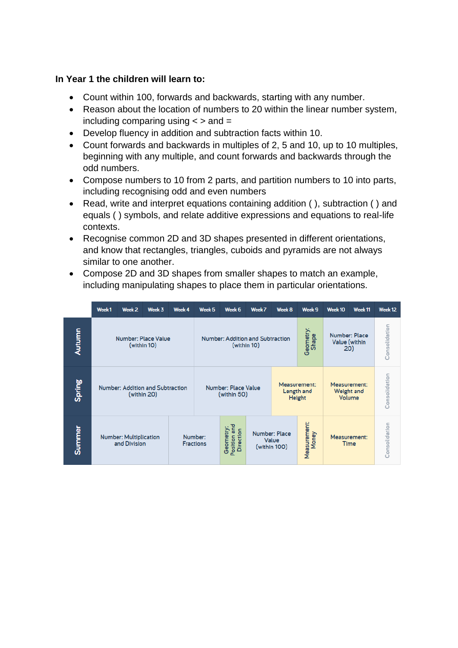### **In Year 1 the children will learn to:**

- Count within 100, forwards and backwards, starting with any number.
- Reason about the location of numbers to 20 within the linear number system, including comparing using  $\lt$   $>$  and  $=$
- Develop fluency in addition and subtraction facts within 10.
- Count forwards and backwards in multiples of 2, 5 and 10, up to 10 multiples, beginning with any multiple, and count forwards and backwards through the odd numbers.
- Compose numbers to 10 from 2 parts, and partition numbers to 10 into parts, including recognising odd and even numbers
- Read, write and interpret equations containing addition (), subtraction () and equals ( ) symbols, and relate additive expressions and equations to real-life contexts.
- Recognise common 2D and 3D shapes presented in different orientations, and know that rectangles, triangles, cuboids and pyramids are not always similar to one another.
- Compose 2D and 3D shapes from smaller shapes to match an example, including manipulating shapes to place them in particular orientations.

|        | Week <sub>1</sub>                                                            | Week <sub>2</sub>                | Week 3      | Week 4 | Week 5 | Week 6                                    | Week 7                                          | Week 8 | Week 9                               | Week 10                               | Week <sub>11</sub>                   | Week 12       |
|--------|------------------------------------------------------------------------------|----------------------------------|-------------|--------|--------|-------------------------------------------|-------------------------------------------------|--------|--------------------------------------|---------------------------------------|--------------------------------------|---------------|
| Autumn |                                                                              | <b>Number: Place Value</b>       | (within 10) |        |        |                                           | Number: Addition and Subtraction<br>(within 10) |        | Geometry:<br>Shape                   | Number: Place<br>Value (within<br>20) | Consolidation                        |               |
| Spring |                                                                              | Number: Addition and Subtraction | (within 20) |        |        | <b>Number: Place Value</b><br>(within 50) |                                                 |        | Measurement:<br>Length and<br>Height |                                       | Measurement:<br>Weight and<br>Volume | Consolidation |
| Summer | Number:<br><b>Number: Multiplication</b><br>and Division<br><b>Fractions</b> |                                  |             |        |        | Geometry:<br>Position and<br>Direction    | Number: Place<br>Value<br>(within 100)          |        | Measurement:<br>Money                |                                       | Measurement:<br>Time                 | Consolidation |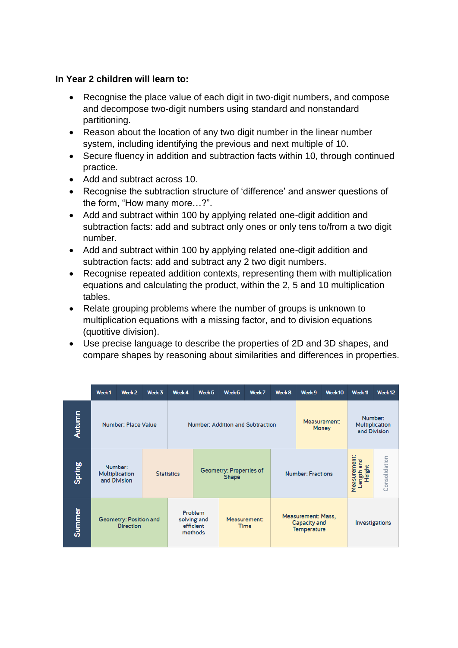### **In Year 2 children will learn to:**

- Recognise the place value of each digit in two-digit numbers, and compose and decompose two-digit numbers using standard and nonstandard partitioning.
- Reason about the location of any two digit number in the linear number system, including identifying the previous and next multiple of 10.
- Secure fluency in addition and subtraction facts within 10, through continued practice.
- Add and subtract across 10.
- Recognise the subtraction structure of 'difference' and answer questions of the form, "How many more…?".
- Add and subtract within 100 by applying related one-digit addition and subtraction facts: add and subtract only ones or only tens to/from a two digit number.
- Add and subtract within 100 by applying related one-digit addition and subtraction facts: add and subtract any 2 two digit numbers.
- Recognise repeated addition contexts, representing them with multiplication equations and calculating the product, within the 2, 5 and 10 multiplication tables.
- Relate grouping problems where the number of groups is unknown to multiplication equations with a missing factor, and to division equations (quotitive division).
- Use precise language to describe the properties of 2D and 3D shapes, and compare shapes by reasoning about similarities and differences in properties.

|        | Week <sub>1</sub> | Week <sub>2</sub>                          | Week 3 | Week 4            | Week <sub>5</sub>                              | Week 6 | Week 7                           | Week 8                | Week 9                                                          | Week 10                                   | Week <sub>11</sub> | Week <sub>12</sub> |
|--------|-------------------|--------------------------------------------|--------|-------------------|------------------------------------------------|--------|----------------------------------|-----------------------|-----------------------------------------------------------------|-------------------------------------------|--------------------|--------------------|
| Autumn |                   | Number: Place Value                        |        |                   |                                                |        | Number: Addition and Subtraction | Measurement:<br>Money |                                                                 | Number:<br>Multiplication<br>and Division |                    |                    |
| Spring |                   | Number:<br>Multiplication<br>and Division  |        | <b>Statistics</b> | Geometry: Properties of<br><b>Shape</b>        |        |                                  |                       | <b>Number: Fractions</b>                                        | Measurement:<br>Length and<br>Height      | Consolidation      |                    |
| Summer |                   | Geometry: Position and<br><b>Direction</b> |        |                   | Problem<br>solving and<br>efficient<br>methods |        | Measurement:<br><b>Time</b>      |                       | <b>Measurement: Mass,</b><br>Capacity and<br><b>Temperature</b> |                                           | Investigations     |                    |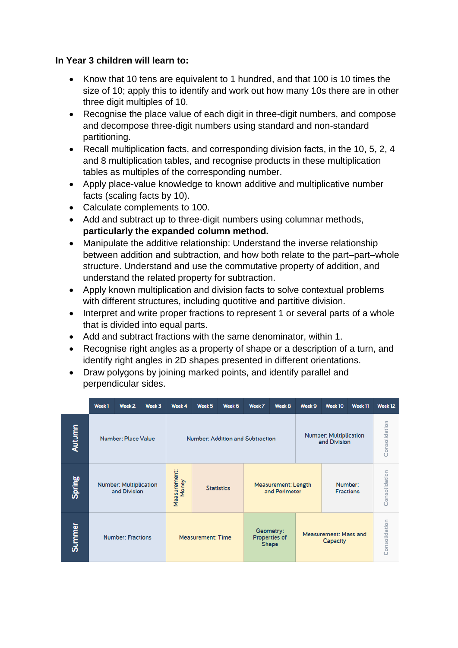### **In Year 3 children will learn to:**

- Know that 10 tens are equivalent to 1 hundred, and that 100 is 10 times the size of 10; apply this to identify and work out how many 10s there are in other three digit multiples of 10.
- Recognise the place value of each digit in three-digit numbers, and compose and decompose three-digit numbers using standard and non-standard partitioning.
- Recall multiplication facts, and corresponding division facts, in the 10, 5, 2, 4 and 8 multiplication tables, and recognise products in these multiplication tables as multiples of the corresponding number.
- Apply place-value knowledge to known additive and multiplicative number facts (scaling facts by 10).
- Calculate complements to 100.
- Add and subtract up to three-digit numbers using columnar methods, **particularly the expanded column method.**
- Manipulate the additive relationship: Understand the inverse relationship between addition and subtraction, and how both relate to the part–part–whole structure. Understand and use the commutative property of addition, and understand the related property for subtraction.
- Apply known multiplication and division facts to solve contextual problems with different structures, including quotitive and partitive division.
- Interpret and write proper fractions to represent 1 or several parts of a whole that is divided into equal parts.
- Add and subtract fractions with the same denominator, within 1.
- Recognise right angles as a property of shape or a description of a turn, and identify right angles in 2D shapes presented in different orientations.
- Draw polygons by joining marked points, and identify parallel and perpendicular sides.

|        | Week <sub>1</sub>                             | Week 2                     | Week 3 | Week 4                           | Week 5                   | Week 6            | Week 7                                      | Week 8                                     | Week 9 | Week 10                                       | Week <sub>11</sub> | Week <sub>12</sub> |  |
|--------|-----------------------------------------------|----------------------------|--------|----------------------------------|--------------------------|-------------------|---------------------------------------------|--------------------------------------------|--------|-----------------------------------------------|--------------------|--------------------|--|
| Autumn |                                               | <b>Number: Place Value</b> |        | Number: Addition and Subtraction |                          |                   |                                             |                                            |        | <b>Number: Multiplication</b><br>and Division |                    |                    |  |
| Spring | <b>Number: Multiplication</b><br>and Division |                            |        | Measurement:<br>Money            |                          | <b>Statistics</b> | <b>Measurement: Length</b><br>and Perimeter |                                            |        | Number:<br><b>Fractions</b>                   |                    |                    |  |
| Summer |                                               | <b>Number: Fractions</b>   |        |                                  | <b>Measurement: Time</b> |                   |                                             | Geometry:<br>Properties of<br><b>Shape</b> |        | <b>Measurement: Mass and</b><br>Capacity      |                    | Consolidation      |  |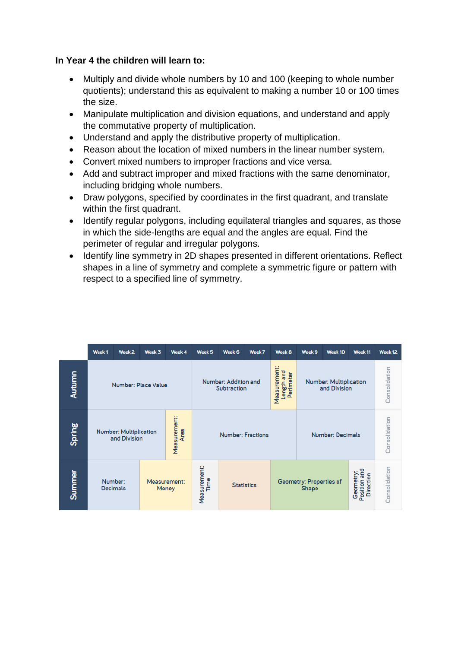### **In Year 4 the children will learn to:**

- Multiply and divide whole numbers by 10 and 100 (keeping to whole number quotients); understand this as equivalent to making a number 10 or 100 times the size.
- Manipulate multiplication and division equations, and understand and apply the commutative property of multiplication.
- Understand and apply the distributive property of multiplication.
- Reason about the location of mixed numbers in the linear number system.
- Convert mixed numbers to improper fractions and vice versa.
- Add and subtract improper and mixed fractions with the same denominator, including bridging whole numbers.
- Draw polygons, specified by coordinates in the first quadrant, and translate within the first quadrant.
- Identify regular polygons, including equilateral triangles and squares, as those in which the side-lengths are equal and the angles are equal. Find the perimeter of regular and irregular polygons.
- Identify line symmetry in 2D shapes presented in different orientations. Reflect shapes in a line of symmetry and complete a symmetric figure or pattern with respect to a specified line of symmetry.

|        | Week <sub>1</sub> | Week <sub>2</sub>                             | Week 3 | Week 4                      | Week <sub>5</sub>                                                              | Week 6                   | Week 7            | Week 8 | Week 9                                        | Week 10                 | Week <sub>11</sub>                            | Week 12       |
|--------|-------------------|-----------------------------------------------|--------|-----------------------------|--------------------------------------------------------------------------------|--------------------------|-------------------|--------|-----------------------------------------------|-------------------------|-----------------------------------------------|---------------|
| Autumn |                   | <b>Number: Place Value</b>                    |        |                             | Measurement:<br>Length and<br>Perimeter<br>Number: Addition and<br>Subtraction |                          |                   |        | <b>Number: Multiplication</b><br>and Division | Consolidation           |                                               |               |
| Spring |                   | <b>Number: Multiplication</b><br>and Division |        | Measurement:<br><b>Area</b> |                                                                                | <b>Number: Fractions</b> |                   |        |                                               | <b>Number: Decimals</b> |                                               |               |
| Summer |                   | Number:<br><b>Decimals</b>                    |        | Measurement:<br>Money       | Measurement:<br>Time                                                           |                          | <b>Statistics</b> |        | Geometry: Properties of<br><b>Shape</b>       |                         | Position and<br>Geometry:<br><b>Direction</b> | Consolidation |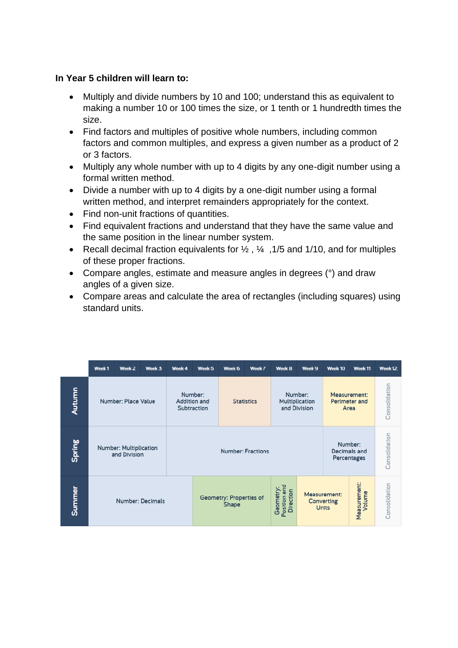### **In Year 5 children will learn to:**

- Multiply and divide numbers by 10 and 100; understand this as equivalent to making a number 10 or 100 times the size, or 1 tenth or 1 hundredth times the size.
- Find factors and multiples of positive whole numbers, including common factors and common multiples, and express a given number as a product of 2 or 3 factors.
- Multiply any whole number with up to 4 digits by any one-digit number using a formal written method.
- Divide a number with up to 4 digits by a one-digit number using a formal written method, and interpret remainders appropriately for the context.
- Find non-unit fractions of quantities.
- Find equivalent fractions and understand that they have the same value and the same position in the linear number system.
- Recall decimal fraction equivalents for  $\frac{1}{2}$ ,  $\frac{1}{3}$ , 1/5 and 1/10, and for multiples of these proper fractions.
- Compare angles, estimate and measure angles in degrees (°) and draw angles of a given size.
- Compare areas and calculate the area of rectangles (including squares) using standard units.

|        | Week <sub>1</sub> | Week <sub>2</sub>                                                                                                          | Week 3                  | Week 4 | Week <sub>5</sub>                             | Week 6                                  | Week 7            | Week 8                                 | Week 9                                     | Week 10                               | Week <sub>11</sub>     | Week <sub>12</sub> |
|--------|-------------------|----------------------------------------------------------------------------------------------------------------------------|-------------------------|--------|-----------------------------------------------|-----------------------------------------|-------------------|----------------------------------------|--------------------------------------------|---------------------------------------|------------------------|--------------------|
| Autumn |                   | Number: Place Value                                                                                                        |                         |        | Number:<br><b>Addition and</b><br>Subtraction |                                         | <b>Statistics</b> |                                        | Number:<br>Multiplication<br>and Division  | Measurement:<br>Perimeter and<br>Area |                        | Consolidation      |
| Spring |                   | Number:<br><b>Number: Multiplication</b><br><b>Number: Fractions</b><br><b>Decimals and</b><br>and Division<br>Percentages |                         |        |                                               |                                         |                   |                                        |                                            | Consolidation                         |                        |                    |
| Summer |                   |                                                                                                                            | <b>Number: Decimals</b> |        |                                               | Geometry: Properties of<br><b>Shape</b> |                   | Position and<br>Direction<br>Geometry: | Measurement:<br>Converting<br><b>Units</b> |                                       | Measurement:<br>Volume | Consolidation      |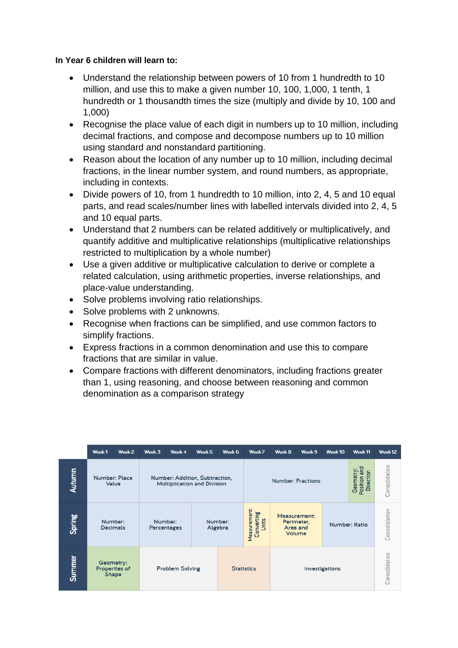#### **In Year 6 children will learn to:**

- Understand the relationship between powers of 10 from 1 hundredth to 10 million, and use this to make a given number 10, 100, 1,000, 1 tenth, 1 hundredth or 1 thousandth times the size (multiply and divide by 10, 100 and 1,000)
- Recognise the place value of each digit in numbers up to 10 million, including decimal fractions, and compose and decompose numbers up to 10 million using standard and nonstandard partitioning.
- Reason about the location of any number up to 10 million, including decimal fractions, in the linear number system, and round numbers, as appropriate, including in contexts.
- Divide powers of 10, from 1 hundredth to 10 million, into 2, 4, 5 and 10 equal parts, and read scales/number lines with labelled intervals divided into 2, 4, 5 and 10 equal parts.
- Understand that 2 numbers can be related additively or multiplicatively, and quantify additive and multiplicative relationships (multiplicative relationships restricted to multiplication by a whole number)
- Use a given additive or multiplicative calculation to derive or complete a related calculation, using arithmetic properties, inverse relationships, and place-value understanding.
- Solve problems involving ratio relationships.
- Solve problems with 2 unknowns.
- Recognise when fractions can be simplified, and use common factors to simplify fractions.
- Express fractions in a common denomination and use this to compare fractions that are similar in value.
- Compare fractions with different denominators, including fractions greater than 1, using reasoning, and choose between reasoning and common denomination as a comparison strategy

|               | Week <sub>1</sub>                                                                                     | Week <sub>2</sub> | Week 3 | Week 4                                           | Week <sub>5</sub> | Week 6 | Week 7                   | Week 8                                           | Week 9        | Week 10       | Week <sub>11</sub> | Week <sub>12</sub> |
|---------------|-------------------------------------------------------------------------------------------------------|-------------------|--------|--------------------------------------------------|-------------------|--------|--------------------------|--------------------------------------------------|---------------|---------------|--------------------|--------------------|
| <b>Autumn</b> | <b>Number: Place</b><br>Number: Addition, Subtraction,<br>Value<br><b>Multiplication and Division</b> |                   |        |                                                  |                   |        | <b>Number: Fractions</b> | Position and<br>Geometry:<br><b>Direction</b>    | Consolidation |               |                    |                    |
| Spring        | Number:<br>Number:<br><b>Decimals</b><br>Percentages                                                  |                   |        | Measurement:<br>Converting<br>Number:<br>Algebra |                   |        |                          | Measurement:<br>Perimeter,<br>Area and<br>Volume |               | Number: Ratio | Consolidation      |                    |
| <b>Summer</b> | Geometry:<br>Properties of<br><b>Problem Solving</b><br>Shape                                         |                   |        |                                                  | <b>Statistics</b> |        |                          | Investigations                                   |               | Consolidation |                    |                    |